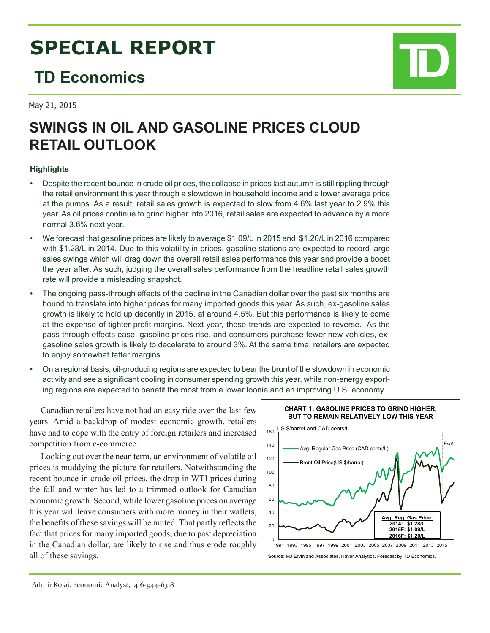# **SPECIAL REPORT**

# **TD Economics**

May 21, 2015

# **SWINGS IN OIL AND GASOLINE PRICES CLOUD RETAIL OUTLOOK**

# **Highlights**

- Despite the recent bounce in crude oil prices, the collapse in prices last autumn is still rippling through the retail environment this year through a slowdown in household income and a lower average price at the pumps. As a result, retail sales growth is expected to slow from 4.6% last year to 2.9% this year. As oil prices continue to grind higher into 2016, retail sales are expected to advance by a more normal 3.6% next year.
- We forecast that gasoline prices are likely to average \$1.09/L in 2015 and \$1.20/L in 2016 compared with \$1.28/L in 2014. Due to this volatility in prices, gasoline stations are expected to record large sales swings which will drag down the overall retail sales performance this year and provide a boost the year after. As such, judging the overall sales performance from the headline retail sales growth rate will provide a misleading snapshot.
- The ongoing pass-through effects of the decline in the Canadian dollar over the past six months are bound to translate into higher prices for many imported goods this year. As such, ex-gasoline sales growth is likely to hold up decently in 2015, at around 4.5%. But this performance is likely to come at the expense of tighter profit margins. Next year, these trends are expected to reverse. As the pass-through effects ease, gasoline prices rise, and consumers purchase fewer new vehicles, exgasoline sales growth is likely to decelerate to around 3%. At the same time, retailers are expected to enjoy somewhat fatter margins.
- On a regional basis, oil-producing regions are expected to bear the brunt of the slowdown in economic activity and see a significant cooling in consumer spending growth this year, while non-energy exporting regions are expected to benefit the most from a lower loonie and an improving U.S. economy.

Canadian retailers have not had an easy ride over the last few years. Amid a backdrop of modest economic growth, retailers have had to cope with the entry of foreign retailers and increased competition from e-commerce.

Looking out over the near-term, an environment of volatile oil prices is muddying the picture for retailers. Notwithstanding the recent bounce in crude oil prices, the drop in WTI prices during the fall and winter has led to a trimmed outlook for Canadian economic growth. Second, while lower gasoline prices on average this year will leave consumers with more money in their wallets, the benefits of these savings will be muted. That partly reflects the fact that prices for many imported goods, due to past depreciation in the Canadian dollar, are likely to rise and thus erode roughly all of these savings.

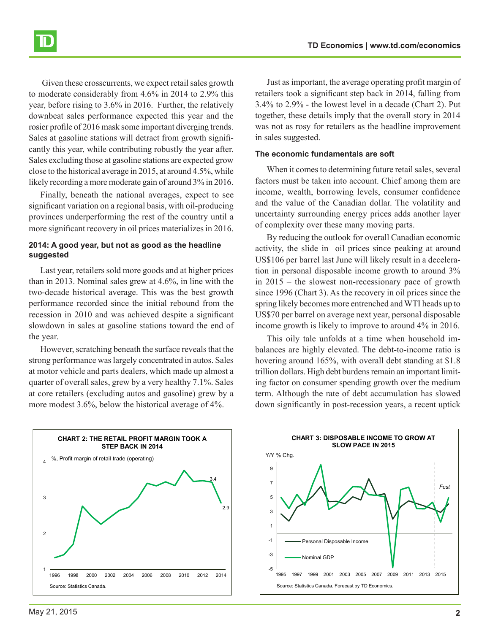Given these crosscurrents, we expect retail sales growth to moderate considerably from 4.6% in 2014 to 2.9% this year, before rising to 3.6% in 2016. Further, the relatively downbeat sales performance expected this year and the rosier profile of 2016 mask some important diverging trends. Sales at gasoline stations will detract from growth significantly this year, while contributing robustly the year after. Sales excluding those at gasoline stations are expected grow close to the historical average in 2015, at around 4.5%, while likely recording a more moderate gain of around 3% in 2016.

Finally, beneath the national averages, expect to see significant variation on a regional basis, with oil-producing provinces underperforming the rest of the country until a more significant recovery in oil prices materializes in 2016.

### **2014: A good year, but not as good as the headline suggested**

Last year, retailers sold more goods and at higher prices than in 2013. Nominal sales grew at 4.6%, in line with the two-decade historical average. This was the best growth performance recorded since the initial rebound from the recession in 2010 and was achieved despite a significant slowdown in sales at gasoline stations toward the end of the year.

However, scratching beneath the surface reveals that the strong performance was largely concentrated in autos. Sales at motor vehicle and parts dealers, which made up almost a quarter of overall sales, grew by a very healthy 7.1%. Sales at core retailers (excluding autos and gasoline) grew by a more modest 3.6%, below the historical average of 4%.

Just as important, the average operating profit margin of retailers took a significant step back in 2014, falling from 3.4% to 2.9% - the lowest level in a decade (Chart 2). Put together, these details imply that the overall story in 2014 was not as rosy for retailers as the headline improvement in sales suggested.

#### **The economic fundamentals are soft**

When it comes to determining future retail sales, several factors must be taken into account. Chief among them are income, wealth, borrowing levels, consumer confidence and the value of the Canadian dollar. The volatility and uncertainty surrounding energy prices adds another layer of complexity over these many moving parts.

By reducing the outlook for overall Canadian economic activity, the slide in oil prices since peaking at around US\$106 per barrel last June will likely result in a deceleration in personal disposable income growth to around 3% in 2015 – the slowest non-recessionary pace of growth since 1996 (Chart 3). As the recovery in oil prices since the spring likely becomes more entrenched and WTI heads up to US\$70 per barrel on average next year, personal disposable income growth is likely to improve to around 4% in 2016.

This oily tale unfolds at a time when household imbalances are highly elevated. The debt-to-income ratio is hovering around 165%, with overall debt standing at \$1.8 trillion dollars. High debt burdens remain an important limiting factor on consumer spending growth over the medium term. Although the rate of debt accumulation has slowed down significantly in post-recession years, a recent uptick



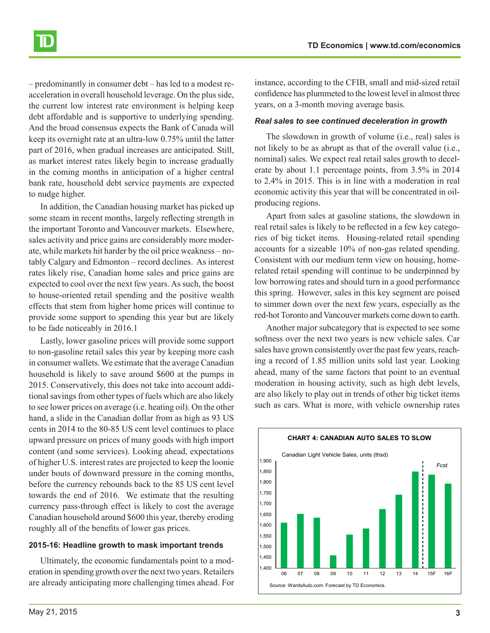– predominantly in consumer debt – has led to a modest reacceleration in overall household leverage. On the plus side, the current low interest rate environment is helping keep debt affordable and is supportive to underlying spending. And the broad consensus expects the Bank of Canada will keep its overnight rate at an ultra-low 0.75% until the latter part of 2016, when gradual increases are anticipated. Still, as market interest rates likely begin to increase gradually in the coming months in anticipation of a higher central bank rate, household debt service payments are expected to nudge higher.

In addition, the Canadian housing market has picked up some steam in recent months, largely reflecting strength in the important Toronto and Vancouver markets. Elsewhere, sales activity and price gains are considerably more moderate, while markets hit harder by the oil price weakness – notably Calgary and Edmonton – record declines. As interest rates likely rise, Canadian home sales and price gains are expected to cool over the next few years. As such, the boost to house-oriented retail spending and the positive wealth effects that stem from higher home prices will continue to provide some support to spending this year but are likely to be fade noticeably in 2016.1

Lastly, lower gasoline prices will provide some support to non-gasoline retail sales this year by keeping more cash in consumer wallets. We estimate that the average Canadian household is likely to save around \$600 at the pumps in 2015. Conservatively, this does not take into account additional savings from other types of fuels which are also likely to see lower prices on average (i.e. heating oil). On the other hand, a slide in the Canadian dollar from as high as 93 US cents in 2014 to the 80-85 US cent level continues to place upward pressure on prices of many goods with high import content (and some services). Looking ahead, expectations of higher U.S. interest rates are projected to keep the loonie under bouts of downward pressure in the coming months, before the currency rebounds back to the 85 US cent level towards the end of 2016. We estimate that the resulting currency pass-through effect is likely to cost the average Canadian household around \$600 this year, thereby eroding roughly all of the benefits of lower gas prices.

### **2015-16: Headline growth to mask important trends**

Ultimately, the economic fundamentals point to a moderation in spending growth over the next two years. Retailers are already anticipating more challenging times ahead. For

instance, according to the CFIB, small and mid-sized retail confidence has plummeted to the lowest level in almost three years, on a 3-month moving average basis.

#### *Real sales to see continued deceleration in growth*

The slowdown in growth of volume (i.e., real) sales is not likely to be as abrupt as that of the overall value (i.e., nominal) sales. We expect real retail sales growth to decelerate by about 1.1 percentage points, from 3.5% in 2014 to 2.4% in 2015. This is in line with a moderation in real economic activity this year that will be concentrated in oilproducing regions.

Apart from sales at gasoline stations, the slowdown in real retail sales is likely to be reflected in a few key categories of big ticket items. Housing-related retail spending accounts for a sizeable 10% of non-gas related spending. Consistent with our medium term view on housing, homerelated retail spending will continue to be underpinned by low borrowing rates and should turn in a good performance this spring. However, sales in this key segment are poised to simmer down over the next few years, especially as the red-hot Toronto and Vancouver markets come down to earth.

Another major subcategory that is expected to see some softness over the next two years is new vehicle sales. Car sales have grown consistently over the past few years, reaching a record of 1.85 million units sold last year. Looking ahead, many of the same factors that point to an eventual moderation in housing activity, such as high debt levels, are also likely to play out in trends of other big ticket items such as cars. What is more, with vehicle ownership rates



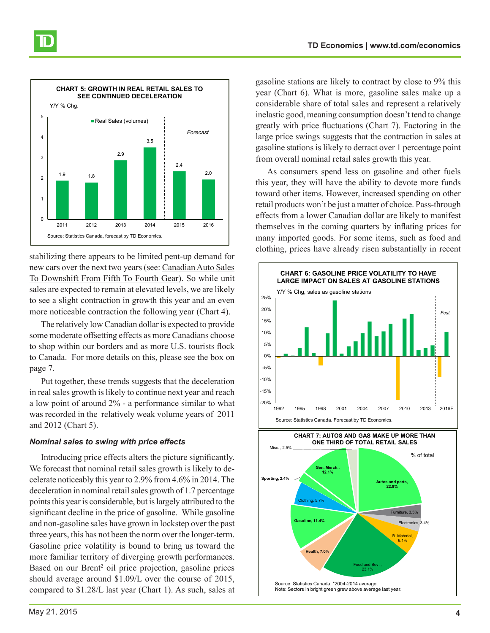

stabilizing there appears to be limited pent-up demand for new cars over the next two years (see: [Canadian Auto Sales](https://www.td.com/document/PDF/economics/special/CDN_Auto_Sales.pdf) [To Downshift From Fifth To Fourth Gear](https://www.td.com/document/PDF/economics/special/CDN_Auto_Sales.pdf)). So while unit sales are expected to remain at elevated levels, we are likely to see a slight contraction in growth this year and an even more noticeable contraction the following year (Chart 4).

The relatively low Canadian dollar is expected to provide some moderate offsetting effects as more Canadians choose to shop within our borders and as more U.S. tourists flock to Canada. For more details on this, please see the box on page 7.

Put together, these trends suggests that the deceleration in real sales growth is likely to continue next year and reach a low point of around 2% - a performance similar to what was recorded in the relatively weak volume years of 2011 and 2012 (Chart 5).

#### *Nominal sales to swing with price effects*

Introducing price effects alters the picture significantly. We forecast that nominal retail sales growth is likely to decelerate noticeably this year to 2.9% from 4.6% in 2014. The deceleration in nominal retail sales growth of 1.7 percentage points this year is considerable, but is largely attributed to the significant decline in the price of gasoline. While gasoline and non-gasoline sales have grown in lockstep over the past three years, this has not been the norm over the longer-term. Gasoline price volatility is bound to bring us toward the more familiar territory of diverging growth performances. Based on our Brent<sup>2</sup> oil price projection, gasoline prices should average around \$1.09/L over the course of 2015, compared to \$1.28/L last year (Chart 1). As such, sales at

gasoline stations are likely to contract by close to 9% this year (Chart 6). What is more, gasoline sales make up a considerable share of total sales and represent a relatively inelastic good, meaning consumption doesn't tend to change greatly with price fluctuations (Chart 7). Factoring in the large price swings suggests that the contraction in sales at gasoline stations is likely to detract over 1 percentage point from overall nominal retail sales growth this year.

As consumers spend less on gasoline and other fuels this year, they will have the ability to devote more funds toward other items. However, increased spending on other retail products won't be just a matter of choice. Pass-through effects from a lower Canadian dollar are likely to manifest themselves in the coming quarters by inflating prices for many imported goods. For some items, such as food and clothing, prices have already risen substantially in recent

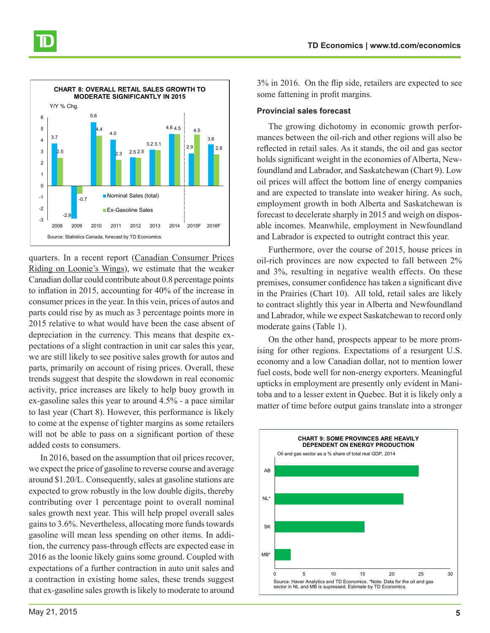

quarters. In a recent report [\(Canadian Consumer Prices](http://www.td.com/document/PDF/economics/special/CanadianInflation.pdf) [Riding on Loonie's Wings](http://www.td.com/document/PDF/economics/special/CanadianInflation.pdf)), we estimate that the weaker Canadian dollar could contribute about 0.8 percentage points to inflation in 2015, accounting for 40% of the increase in consumer prices in the year. In this vein, prices of autos and parts could rise by as much as 3 percentage points more in 2015 relative to what would have been the case absent of depreciation in the currency. This means that despite expectations of a slight contraction in unit car sales this year, we are still likely to see positive sales growth for autos and parts, primarily on account of rising prices. Overall, these trends suggest that despite the slowdown in real economic activity, price increases are likely to help buoy growth in ex-gasoline sales this year to around 4.5% - a pace similar to last year (Chart 8). However, this performance is likely to come at the expense of tighter margins as some retailers will not be able to pass on a significant portion of these added costs to consumers.

In 2016, based on the assumption that oil prices recover, we expect the price of gasoline to reverse course and average around \$1.20/L. Consequently, sales at gasoline stations are expected to grow robustly in the low double digits, thereby contributing over 1 percentage point to overall nominal sales growth next year. This will help propel overall sales gains to 3.6%. Nevertheless, allocating more funds towards gasoline will mean less spending on other items. In addition, the currency pass-through effects are expected ease in 2016 as the loonie likely gains some ground. Coupled with expectations of a further contraction in auto unit sales and a contraction in existing home sales, these trends suggest that ex-gasoline sales growth is likely to moderate to around 3% in 2016. On the flip side, retailers are expected to see some fattening in profit margins.

#### **Provincial sales forecast**

The growing dichotomy in economic growth performances between the oil-rich and other regions will also be reflected in retail sales. As it stands, the oil and gas sector holds significant weight in the economies of Alberta, Newfoundland and Labrador, and Saskatchewan (Chart 9). Low oil prices will affect the bottom line of energy companies and are expected to translate into weaker hiring. As such, employment growth in both Alberta and Saskatchewan is forecast to decelerate sharply in 2015 and weigh on disposable incomes. Meanwhile, employment in Newfoundland and Labrador is expected to outright contract this year.

Furthermore, over the course of 2015, house prices in oil-rich provinces are now expected to fall between 2% and 3%, resulting in negative wealth effects. On these premises, consumer confidence has taken a significant dive in the Prairies (Chart 10). All told, retail sales are likely to contract slightly this year in Alberta and Newfoundland and Labrador, while we expect Saskatchewan to record only moderate gains (Table 1).

On the other hand, prospects appear to be more promising for other regions. Expectations of a resurgent U.S. economy and a low Canadian dollar, not to mention lower fuel costs, bode well for non-energy exporters. Meaningful upticks in employment are presently only evident in Manitoba and to a lesser extent in Quebec. But it is likely only a matter of time before output gains translate into a stronger

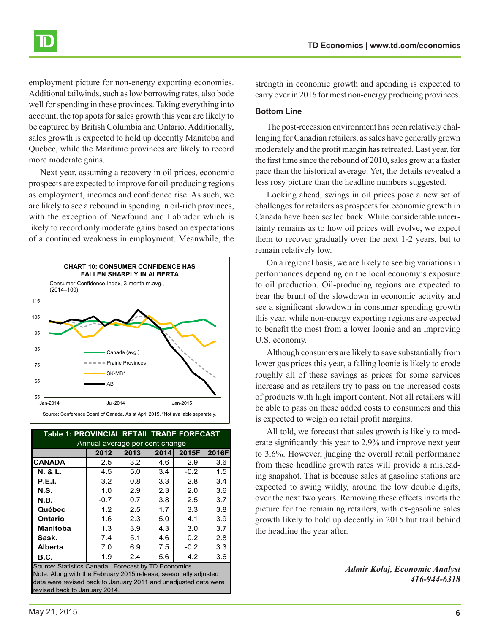

employment picture for non-energy exporting economies. Additional tailwinds, such as low borrowing rates, also bode well for spending in these provinces. Taking everything into account, the top spots for sales growth this year are likely to be captured by British Columbia and Ontario. Additionally, sales growth is expected to hold up decently Manitoba and Quebec, while the Maritime provinces are likely to record more moderate gains.

Next year, assuming a recovery in oil prices, economic prospects are expected to improve for oil-producing regions as employment, incomes and confidence rise. As such, we are likely to see a rebound in spending in oil-rich provinces, with the exception of Newfound and Labrador which is likely to record only moderate gains based on expectations of a continued weakness in employment. Meanwhile, the



| Table 1: PROVINCIAL RETAIL TRADE FORECAST            |        |      |      |        |       |
|------------------------------------------------------|--------|------|------|--------|-------|
| Annual average per cent change                       |        |      |      |        |       |
|                                                      | 2012   | 2013 | 2014 | 2015F  | 2016F |
| ICANADA                                              | 2.5    | 3.2  | 4.6  | 2.9    | 3.6   |
| N. & L.                                              | 4.5    | 5.0  | 3.4  | $-0.2$ | 1.5   |
| <b>P.E.I.</b>                                        | 3.2    | 0.8  | 3.3  | 2.8    | 3.4   |
| N.S.                                                 | 1.0    | 2.9  | 2.3  | 2.0    | 3.6   |
| N.B.                                                 | $-0.7$ | 0.7  | 3.8  | 2.5    | 3.7   |
| Québec                                               | 1.2    | 2.5  | 1.7  | 3.3    | 3.8   |
| Ontario                                              | 1.6    | 2.3  | 5.0  | 4.1    | 3.9   |
| <b>Manitoba</b>                                      | 1.3    | 3.9  | 4.3  | 3.0    | 3.7   |
| Sask.                                                | 7.4    | 5.1  | 4.6  | 0.2    | 2.8   |
| Alberta                                              | 7.0    | 6.9  | 7.5  | $-0.2$ | 3.3   |
| B.C.                                                 | 1.9    | 24   | 5.6  | 4.2    | 3.6   |
| Source: Statistics Canada. Forecast by TD Economics. |        |      |      |        |       |

Note: Along with the February 2015 release, seasonally adjusted data were revised back to January 2011 and unadjusted data were revised back to January 2014

strength in economic growth and spending is expected to carry over in 2016 for most non-energy producing provinces.

#### **Bottom Line**

The post-recession environment has been relatively challenging for Canadian retailers, as sales have generally grown moderately and the profit margin has retreated. Last year, for the first time since the rebound of 2010, sales grew at a faster pace than the historical average. Yet, the details revealed a less rosy picture than the headline numbers suggested.

Looking ahead, swings in oil prices pose a new set of challenges for retailers as prospects for economic growth in Canada have been scaled back. While considerable uncertainty remains as to how oil prices will evolve, we expect them to recover gradually over the next 1-2 years, but to remain relatively low.

On a regional basis, we are likely to see big variations in performances depending on the local economy's exposure to oil production. Oil-producing regions are expected to bear the brunt of the slowdown in economic activity and see a significant slowdown in consumer spending growth this year, while non-energy exporting regions are expected to benefit the most from a lower loonie and an improving U.S. economy.

Although consumers are likely to save substantially from lower gas prices this year, a falling loonie is likely to erode roughly all of these savings as prices for some services increase and as retailers try to pass on the increased costs of products with high import content. Not all retailers will be able to pass on these added costs to consumers and this is expected to weigh on retail profit margins.

All told, we forecast that sales growth is likely to moderate significantly this year to 2.9% and improve next year to 3.6%. However, judging the overall retail performance from these headline growth rates will provide a misleading snapshot. That is because sales at gasoline stations are expected to swing wildly, around the low double digits, over the next two years. Removing these effects inverts the picture for the remaining retailers, with ex-gasoline sales growth likely to hold up decently in 2015 but trail behind the headline the year after.

> *Admir Kolaj, Economic Analyst 416-944-6318*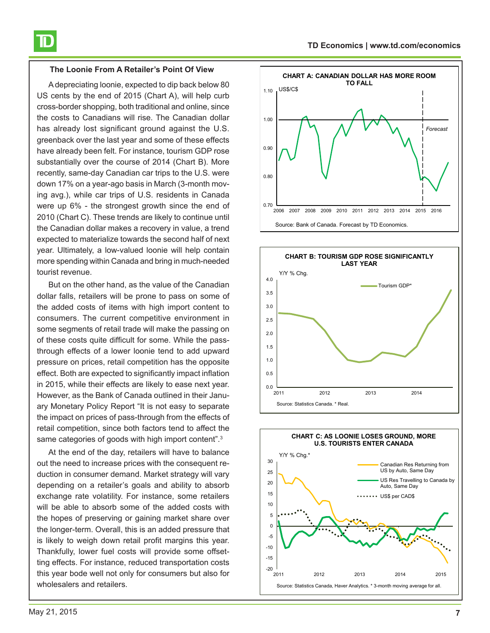#### **The Loonie From A Retailer's Point Of View**

Adepreciating loonie, expected to dip back below 80 US cents by the end of 2015 (Chart A), will help curb cross-border shopping, both traditional and online, since the costs to Canadians will rise. The Canadian dollar has already lost significant ground against the U.S. greenback over the last year and some of these effects have already been felt. For instance, tourism GDP rose substantially over the course of 2014 (Chart B). More recently, same-day Canadian car trips to the U.S. were down 17% on a year-ago basis in March (3-month moving avg.), while car trips of U.S. residents in Canada were up 6% - the strongest growth since the end of 2010 (Chart C). These trends are likely to continue until the Canadian dollar makes a recovery in value, a trend expected to materialize towards the second half of next year. Ultimately, a low-valued loonie will help contain more spending within Canada and bring in much-needed tourist revenue.

But on the other hand, as the value of the Canadian dollar falls, retailers will be prone to pass on some of the added costs of items with high import content to consumers. The current competitive environment in some segments of retail trade will make the passing on of these costs quite difficult for some. While the passthrough effects of a lower loonie tend to add upward pressure on prices, retail competition has the opposite effect. Both are expected to significantly impact inflation in 2015, while their effects are likely to ease next year. However, as the Bank of Canada outlined in their January Monetary Policy Report "It is not easy to separate the impact on prices of pass-through from the effects of retail competition, since both factors tend to affect the same categories of goods with high import content".<sup>3</sup>

At the end of the day, retailers will have to balance out the need to increase prices with the consequent reduction in consumer demand. Market strategy will vary depending on a retailer's goals and ability to absorb exchange rate volatility. For instance, some retailers will be able to absorb some of the added costs with the hopes of preserving or gaining market share over the longer-term. Overall, this is an added pressure that is likely to weigh down retail profit margins this year. Thankfully, lower fuel costs will provide some offsetting effects. For instance, reduced transportation costs this year bode well not only for consumers but also for wholesalers and retailers.